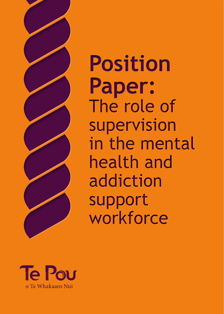

**Position Paper:** The role of supervision in the mental health and addiction support workforce

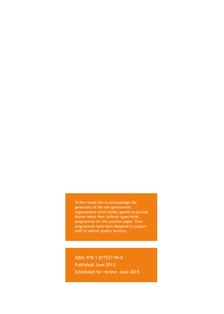Te Pou would like to acknowledge the generosity of the non-government organisations which kindly agreed to provide stories about their tailored supervision programmes for this position paper. Their programmes have been designed to support staff to deliver quality services.

ISBN: 978-1-877537-95-0 Published June 2013. Scheduled for review: June 2015.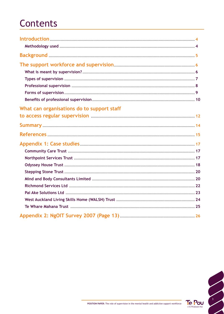# **Contents**

| What can organisations do to support staff |  |
|--------------------------------------------|--|
|                                            |  |
|                                            |  |
|                                            |  |
|                                            |  |

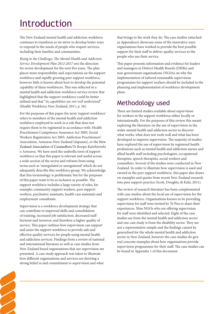# Introduction

The New Zealand mental health and addiction workforce continues to transform as we strive to develop better ways to respond to the needs of people who require services, including their families and communities.

*Rising to the Challenge: The Mental Health and Addiction Service Development Plan 2012-2017* sets the direction for sector development for the next five years. The plan places more responsibility and expectations on the support workforce and rapidly growing peer support workforce, however little is known about how to develop the potential capability of these workforces. This was reflected in a mental health and addiction workforce service review that highlighted that the support workforce could be better utilised and that "*its capabilities are not well understood*" (Health Workforce New Zealand, 2011, p. 56).

For the purposes of this paper the term 'support workforce' refers to members of the mental health and addiction workforce employed to work in a role that does not require them to be registered in accordance with: Health Practitioners Competence Assurance Act 2003, Social Workers Registration Act 2003, Addiction Practitioners' Association, Aotearoa-New Zealand (dapaanz), or the New Zealand Association of Counsellors/Te Roopu Kaiwhiriwhi o Aotearoa. We have used the umbrella term of support workforce so that this paper is relevant and useful across a wide section of the sector and refrains from using terms such as 'unregulated or unregistered' which do not adequately describe this workforce group. We acknowledge that this terminology is problematic but for the purposes of this paper want to be as inclusive as possible. The support workforce includes a large variety of roles, for example; community support workers, peer support workers, psychiatric assistants, health care assistants and employment consultants.

Supervision is a workforce development strategy that can contribute to improved skills and consolidation of training, increased job satisfaction, decreased staff burnout and turnover, and therefore a higher quality of service. This paper outlines how supervision can support and assist the support workforce to provide safe and effective quality services for people using mental health and addiction services. Findings from a review of national and international literature as well as case studies from New Zealand based organisations that use supervision are presented. A case study approach was taken to illustrate how different organisations and services are showing a strong belief in and commitment to supervision and what

4

that brings to the work they do. The case studies (attached as Appendices) showcase some of the innovative ways organisations have worked to provide the best possible support for their staff to deliver quality services to the people who use their service.

This paper presents information and evidence for leaders and managers in District Health Boards (DHBs) and non-government organisations (NGOs) on why the implementation of tailored sustainable supervision programmes for support workers should be included in the planning and implementation of workforce development plans.

## Methodology used

There are limited studies available about supervision for workers in the support workforce either locally or internationally. For the purposes of this review this meant exploring the literature on the use of supervision in the wider mental health and addiction sector to discover what works, what does not work well and what has been developed to improve supervision. The majority of studies have explored the use of supervision by registered health professions such as mental health and addiction nurses and allied health staff including psychologists, occupational therapists, speech therapists, social workers and counsellors. Several of the studies were conducted in New Zealand. In order to illustrate how supervision is used and viewed in the peer support workforce, this paper also draws on examples and quotes from recent New Zealand research into peer support practice (Scott, Doughty, & Kahi, 2011).

The review of research literature has been complemented with case studies about the local use of supervision for the support workforce. Organisations known to be providing supervision for staff were invited by Te Pou to share their experiences. Nine NGOs who are offering supervision for staff were identified and selected. Eight of the case studies are from the mental health and addiction sector and one case study is from the disability sector. They are not a representative sample and the findings cannot be generalised for the whole mental health and addiction sector in New Zealand, however the case studies do give real concrete examples about how organisations provide supervision programmes for their staff. The case studies can be found in Appendix 1 of this document.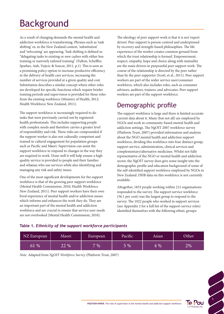# Background

As a result of changing demands the mental health and addiction workforce is transforming. Phrases such as 'task shifting' or, in the New Zealand context, 'substitution' and 'refocusing' are appearing. Task shifting is defined as "delegating tasks to existing or new cadres with either less training or narrowly tailored training" (Fulton, Scheffler, Sparkes, Auh, Vujicic & Soucat, 2011, p.1). This is seen as a promising policy option to increase productive efficiency in the delivery of health care services, increasing the number of services provided at a given quality and cost. Substitution describes a similar concept where other roles are developed for specific functions which require briefer training periods and supervision is provided for these roles from the existing workforce (Ministry of Health, 2012; Health Workforce New Zealand, 2011).

The support workforce is increasingly required to do tasks that were previously carried out by registered health professionals. This includes supporting people with complex needs and therefore carries a greater level of responsibility and risk. These risks are compounded if the support worker is also not culturally competent and trained in cultural engagement for population groups such as Pacific and Maori. Supervision can assist the support workforce to respond to changes in the way they are required to work. Done well it will help ensure a high quality service is provided to people and their families and whanau who use services while also identifying and managing any risk and safety issues.

One of the most significant developments for the support workforce is that of the growing peer support workforce (Mental Health Commission, 2010; Health Workforce New Zealand, 2011). Peer support workers have their own lived experience of mental health and/or addiction issues which informs and enhances the work they do. They are an important part of the mental health and addiction workforce and are crucial to ensure that service user needs are not overlooked (Mental Health Commission, 2010).

The ideology of peer support work is that it is not 'expert driven'. Peer support is person-centred and underpinned by recovery and strength-based philosophies. The life experience of the worker creates common ground from which the trust relationship is formed. Empowerment, respect, empathy, hope and choice along with mutuality are the main drivers in purposeful peer support work. The course of the relationship is directed by the peer rather than by the peer supporter (Scott, et al., 2011). Peer support workers are part of the wider service user/consumer workforce, which also includes roles, such as consumer advisors, auditors, trainers, and advocates. Peer support workers are part of the support workforce.

# Demographic profile

The support workforce is large and there is limited accurate current data about it. Many (but not all) are employed by NGOs and work in community-based mental health and addiction settings. The NgOIT 2007 workforce survey (Platform Trust, 2007) provided information and analysis about the NGO mental health and addiction support workforce, dividing this workforce into four distinct group; support service, administration, clinical services and complementary/alternative medicines. Whilst not fully representative of the NGO or mental health and addiction sector, the NgOIT survey does give some insight into the demographic profile and education background of some of the self-identified support workforce employed by NGOs in New Zealand. DHB data on this workforce is not currently available.

Altogether, 1833 people working within 212 organisations responded to the survey. The support service workforce (56.1 per cent) was the largest group to respond to the survey. The 1022 people who worked in support services (see Appendix 2 for a full list of the support service roles) identified themselves with the following ethnic groups:

## **Table 1.** *Ethnicity of the support workforce participants*

| NZ European | Maori | European | Pacific | Asian           | Other |
|-------------|-------|----------|---------|-----------------|-------|
| $\%$<br>61  | 22 %  | $7\%$    | $5\%$   | $\frac{1}{2}$ % | 2%    |

*Note.* Adapted from *NgOIT Workforce Survey* (Platform Trust, 2007)

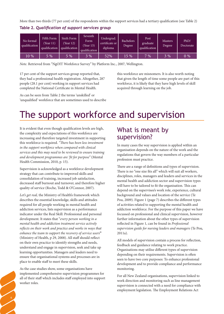More than two thirds (77 per cent) of the respondents within the support services had a tertiary qualification (see Table 2)

| No formal<br>qualification | Fifth Form<br>(Year 11)<br>qualification | Sixth Form<br>Year 12)<br>qualification | Seventh<br>Form<br>Year 13)<br>qualification | Undergrad.<br>certificate or<br>diploma | <b>Bachelors</b><br>Degree | Post<br>graduate<br>qualification | <b>Masters</b><br><b>Degree</b> | PhD/<br>Doctorate |
|----------------------------|------------------------------------------|-----------------------------------------|----------------------------------------------|-----------------------------------------|----------------------------|-----------------------------------|---------------------------------|-------------------|
| $10\ \%$                   | 5 %                                      | $5\%$                                   | 3%                                           | 52%                                     | 15 %                       | 7%                                | $3\%$                           | $0\%$             |

**Table 2.** *Qualification of support services group*

*Note.* Retrieved from "NgOIT Workforce Survey" by Platform Inc., 2007, Wellington.

17 per cent of the support services group reported that, they had a professional health registration. Altogether, 287 people (28.1 per cent) working in support services had completed the National Certificate in Mental Health.

As can be seen from Table 2 the terms 'unskilled' or 'unqualified' workforce that are sometimes used to describe this workforce are misnomers. It is also worth noting that given the length of time some people are part of this workforce, it is likely that they have high levels of skill acquired through learning on the job.

# The support workforce and supervision

It is evident that even though qualification levels are high, the complexity and expectations of this workforce are increasing and therefore targeted investment in supporting this workforce is required. *"There has been less investment in the support workforce when compared with clinical services and this may need to be reviewed to ensure training and development programmes are 'fit for purpose"* (Mental Health Commission, 2010, p. 15).

Supervision is acknowledged as a workforce development strategy that can contribute to improved skills and consolidation of training, increased job satisfaction, decreased staff burnout and turnover, and therefore higher quality of service (Roche, Todd & O'Connor, 2007).

*Let's get real,* the Ministry of Health's framework which describes the essential knowledge, skills and attitudes required for all people working in mental health and addiction services, lists supervision as a performance indicator under the Real Skill: Professional and personal development. It states that "*every person working in a mental health and addiction treatment service actively reflects on their work and practice and works in ways that enhance the team to support the recovery of service users***"** (Ministry of Health, p 29, 2008). All staff should reflect on their own practice to identify strengths and needs, understand and engage in supervision, seek and take up learning opportunities. Managers and leaders need to ensure that organisational systems and processes are in place to enable staff to meet these skills.

As the case studies show, some organisations have implemented comprehensive supervision programmes for all of their staff which includes staff employed into support worker roles.

6

## What is meant by supervision?

In many cases the way supervision is applied within an organisation depends on the nature of the work and the regulations that govern the way members of a particular profession must practice.

There are a range of definitions and types of supervision. There is no "one size fits all" which will suit all workers, disciplines, roles, managers and leaders and services in the mental health and addiction sector and supervision types will have to be tailored to fit the organisation. This can depend on the supervisee's work role, experience, cultural background and values and location of the service (Te Pou, 2009). Figure 1 (page 7) describes the different types of activities related to supporting the mental health and addiction workforce. For the purpose of this paper we have focussed on professional and clinical supervision, however further information about the other types of supervision reflected in Figure 1, can be found in *Professional supervision guide for nursing leaders and managers* (Te Pou, 2011a).

All models of supervision contain a process for reflection, feedback and guidance relating to work practice. Organisations may utilise different types of supervision depending on their requirements. Supervision is often seen to have two core purposes: To enhance professional development and to provide compliance and performance monitoring.

For all New Zealand organisations, supervision linked to work direction and monitoring such as line management supervision is connected with a need for compliance with employment legislation. The Employment Relations Act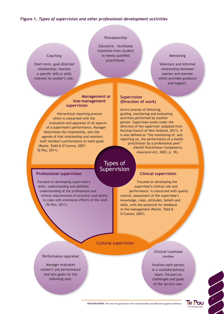#### **Figure 1.** *Types of supervision and other professional development activities*

## Preceptorship

Educative – facilitates transition from student to newly qualified practitioner.

#### Mentoring

Voluntary and informal relationship between mentor and mentee which provides guidance and support.

#### **Management or line-management supervision**

Hierarchical reporting process which is concerned with the evaluation and appraisal of all aspects of a supervisee's performance. Manager determines the relationship, sets the agenda of that relationship and monitors staff member's performance to meet goals (Roche, Todd & O'Connor, 2007; Te Pou, 2011).

#### **Supervision (Direction of work)**

Active process of directing, guiding, monitoring and evaluating activities performed by another person. Supervisee works under the direction of the supervisor (adapted from Nursing Council of New Zealand, 2011). It is also defined as "the monitoring of, and reporting on, the performance of a health practitioner by a professional peer" (Health Practitioner Competency

## Types of Supervision

#### **Professional supervision**

**Coaching** 

Short-term, goal-directed relationship; teaches a specific skill or skills relevant to worker's role.

Focused on developing supervisee's skills, understanding and abilities; understanding of the professional and ethical requirements of practice; and ability to cope with emotional effects of the work (Te Pou, 2011).

#### **Clinical supervision**

Assurance Act, 2003, p. 18).

Focused on developing the supervisee's clinical role and performance. Is concerned with quality control, assessment of the supervisee's knowledge, roles, attitudes, beliefs and skills, with the potential for feedback to the management (Roche, Todd & O'Connor, 2007).

#### Cultural supervision

#### Performance appraisal

Manager evaluates worker's job performance and sets goals for the following year.

Clinical/caseload review

Involves each person in a multidisciplinary team. Focuses on challenges and goals of the service user.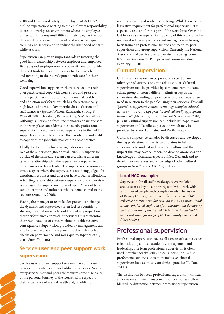2000 and Health and Safety in Employment Act 1992 both outline expectations relating to the employers responsibility to create a workplace environment where the employee understands the responsibilities of their role, has the tools they need to carry out their work and receive adequate training and supervision to reduce the likelihood of harm while at work.

Supervision can play an important role in fostering the good faith relationship between employer and employee. Being a good employer means a commitment to provide the right tools to enable employees to do their job, and investing in their development with care for their wellbeing.

Good supervision supports workers to reflect on their own practice and cope with work stress and pressure. This is particularly important for the mental health and addiction workforce, which has characteristically high levels of burnout, low morale, dissatisfaction and staff turnover (Spence, Wilson, Kavanagh, Strong, & Worrall, 2001; Davidson, Bellamy, Guy, & Miller, 2012). Although supervision from line managers or supervisors in the workplace can address these needs, professional supervision from other trained supervisors in the field supports employees to enhance their resilience and ability to cope with the job while maintaining best practice.

Ideally it is better if a line-manager does not take the role of the supervisor (Roche et al., 2007). A supervisor outside of the immediate team can establish a different type of relationship with the supervisee compared to a line-manager or team leader. The supervision sessions can create a space where the supervisee is not being judged for emotional responses and does not have to fear retributions. A trusting relationship between supervisor and supervisee is necessary for supervision to work well. A lack of trust can undermine and influence what is being shared in the sessions (Sutcliffe, 2006).

Having the manager or team leader present can change the dynamic and supervisees often feel less confident sharing information which could potentially impact on their performance appraisal. Supervisees might monitor their responses out of concern about possible negative consequences. Supervision provided by management can also be perceived as a management tool which involves checks on performance and work quality (Spence et al., 2001; Sutcliffe, 2006).

## **Service user and peer support work supervision**

Service user and peer support workers have a unique position in mental health and addiction services. Nearly every service user and peer role requires some disclosure of the personal journey of the worker with respect to their experience of mental health and/or addiction

8

issues, recovery and resilience building. While there is no legislative requirement for professional supervision, it is especially relevant for this part of the workforce. Over the last five years the supervision capacity of this workforce has increased with many workers and managers now having been trained in professional supervision, peer- to-peer supervision and group supervision. Currently the National Association of Service User Supervisors is being formed (Carolyn Swanson, Te Pou, personal communication, February 11, 2013)

### **Cultural supervision**

Cultural supervision can be provided as part of any other type of supervision or in addition to it. Cultural supervision may be provided by someone from the same ethnic group or from a different ethnic group as the supervisee, depending on practice setting and supervisee need in relation to the people using their services. This will *"provide a supportive context to manage complex cultural issues and to ensure safe practice and culturally appropriate behaviour*" (McKenna, Thom, Howard & Williams, 2010, p. 268). Cultural supervision can include kaupapa Maori supervision and Pasifika supervision which may be provided by Maori kaumatua and Pacific matua.

Cultural competence can also be discussed and developed during professional supervision and aims to help supervisees' to understand their own culture and the impact this may have on others; to develop awareness and knowledge of bicultural aspects of New Zealand; and to develop an awareness and knowledge of other cultural groups in New Zealand (Te Pou, 2011a).

#### **Local NGO example:**

Supervision for all staff has always been available and is seen as key to supporting staff who work with a number of people with complex needs. The vision of Barney Cooper, Executive Officer is to have *"185 reflective practitioners. Supervision gives us a professional framework for all staff to use for reflection and developing their professional practices which in turn should lead to better outcomes for the people*". *Community Care Trust (Case Study 1)*

## Professional supervision

Professional supervision covers all aspects of a supervisee's role, including clinical, academic, management and leadership. The term professional supervision is often used interchangeably with clinical supervision. While professional supervision is more inclusive, clinical supervision focuses mostly on clinical practice (Te Pou, 2011a).

The distinction between professional supervision, clinical supervision and line management supervision are often blurred. A distinction between professional supervision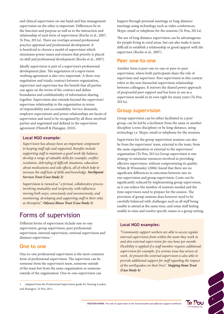and clinical supervision on one hand and line management supervision on the other is important. Differences lie in the function and purpose as well as in the interaction and relationship of each form of supervision (Roche et al., 2007; Te Pou, 2011a). There are overlaps around professional practice appraisal and professional development. It is beneficial to choose a model of supervision which minimises power issues and ensures that priority is placed on skill and professional development (Roche et al., 2007).

Ideally supervision is part of a supervisee's professional development plan. The negotiation of a supervision working agreement is also very important. A three-way negotiation and triadic contract between organisation, supervisor and supervisee has the benefit that all parties can agree on the terms of the contract and define boundaries and confidentiality of information sharing together. Supervision also extends beyond the supervisor/ supervisee relationship to the organisation in terms of responsibility and accountability. Service demands, employer expectations and power relationships are facets of supervision and need to be recognised by all three involved parties and negotiated and defined in the supervision agreement (Flintoff & Flanagan, 2010).

#### **Local NGO example:**

*Supervision has always been an important component to keeping staff safe and supported. Benefits include supporting staff to maintain a good work life balance, develop a range of valuable skills for example; conflict resolution, debriefing of difficult situations, education about medications and side effects, all of which help to increase the staff kete of skills and knowledge. Northpoint Services Trust (Case Study 2)*

Supervision is viewed as "*a formal, collaborative process involving mutuality and reciprocity, with influences moving both ways, consciously and unconsciously, and monitoring, developing and supporting staff in their roles as therapists". Odyssey House Trust (Case Study 3)*

## Forms of supervision

Different forms of supervision include one-to-one supervision, group supervision, peer professional supervision, internal supervision, external supervision and distance supervision.<sup>1</sup>

### **One to one**

One-to-one professional supervision is the most common form of professional supervision. The supervisor can be someone from the supervisee's team, someone outside of the team but from the same organisation or someone outside of the organisation. One-to-one supervision can

happen through personal meetings or long-distance meetings using technology such as video conferences, Skype, email or telephone for the sessions (Te Pou, 2011a).

The use of long distance supervision can be advantageous for people living in rural areas, but can also make it more difficult to establish a relationship or good rapport with the supervisor (Roche et al., 2007).

#### **Peer one-to-one**

Another form is peer one-to-one or peer-to-peer supervision, where both participants share the role of supervisee and supervisor. Peer supervision in this context refers to the non-hierarchal supervision relationship between colleagues. It mirrors the shared power approach of purposeful peer support and has been in use as a supervision model in its own right for many years (Te Pou 2011a).

### **Group supervision**

Group supervision can be either facilitated in a peer group, can be led by a facilitator from the same or another discipline (cross-discipline) or be long-distance, using technology i.e. Skype, email or telephone for the sessions.

Supervisors for the group supervision sessions can also be from the supervisees' team, external to the team, from the same organisation or external to the supervisees' organisation (Te Pou, 2011a).Group supervision is one strategy to minimise resources involved in providing effective supervision, without compromising its quality. White & Winstanley (2006) found that there are no significant differences in outcomes between one-toone supervision and group supervision. Costs can be significantly reduced by implementing group supervision, as it can reduce the number of sessions needed and the time supervisors need to prepare for the session. The provision of group sessions does however need to be carefully balanced with challenges such as all staff being unable to attend at the same time, and some staff feeling unable to raise and resolve specific issues in a group setting.

#### **Local NGO examples:**

*"Community support workers are able to access regular internal supervision from within the team they work in and also external supervision for one hour per month. Flexibility is applied if a staff member requires additional supervision for example, if a serious issue has arisen at work. At present the external supervision is also able to provide additional support for staff regarding the impact of the earthquakes on their lives". Stepping Stone Trust (Case Study 4)*



<sup>1</sup> Adapted from the Professional Supervision guide for Nursing Leaders and Managers, Te Pou, 2011.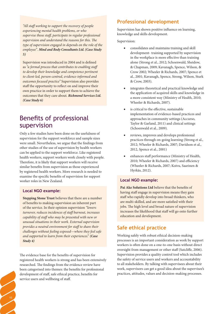*"All staff working to support the recovery of people experiencing mental health problems, or who supervise those staff, participate in regular professional supervision and understand the reasons for this. The type of supervision engaged in depends on the role of the employee". Mind and Body Consultants Ltd. (Case Study 5)*

Supervision was introduced in 2004 and is defined as *"a formal process that contributes to enabling staff to develop their knowledge and competence pertinent to client-led, person-centred, evidence-informed and outcomes focused practice"* Supervision also provides staff the opportunity to reflect on and improve their own practice in order to support them to achieve the outcomes that they care about*. Richmond Services Ltd. (Case Study 6)*

## Benefits of professional supervision

Only a few studies have been done on the usefulness of supervision for the support workforce and sample sizes were small. Nevertheless, we argue that the findings from other studies of the use of supervision by health workers can be applied to the support workforce. Like registered health workers, support workers work closely with people. Therefore, it is likely that support workers will receive similar benefits from supervision as those experienced by registered health workers. More research is needed to examine the specific benefits of supervision for support worker roles in New Zealand.

#### **Local NGO example:**

**Stepping Stone Trust** believes that there are a number of benefits to making supervision an inherent part of the service. In their opinion supervision *"lowers turnover, reduces incidences of staff burnout, increases capability of staff who may be presented with new or unusual situations in their work. External supervision provides a neutral environment for staff to share their challenges without feeling exposed—where they feel safe and supported to learn from their experiences*." *(Case Study 4)*

The evidence base for the benefits of supervision for registered health workers is strong and has been extensively researched. The findings from the evidence review have been categorised into themes: the benefits for professional development of staff, safe ethical practice, benefits for service users and wellbeing of staff.

### **Professional development**

Supervision has shown positive influence on learning, knowledge and skills development.

#### Supervision:

- consolidates and maintains training and skill development- training supported by supervision in the workplace is more effective than training alone (Strong et al., 2012; Schoenwald, Sheidow, & Chapman, 2009; Kavanagh, Spence, Wilson, & Crow 2002; Wheeler & Richards, 2007; Spence et al., 2001; Kavanagh, Spence, Strong, Wilson, Sturk & Crow, 2003).
- integrates theoretical and practical knowledge and the application of acquired skills and knowledge in a more consistent way (Ministry of Health, 2010; Wheeler & Richards, 2007).
- is critical to the effective, sustainable implementation of evidence-based practices and approaches in community settings (Accurso, Taylor & Garland, 2011) and clinical settings (Schoenwald et al., 2009).
- reviews, improves and develops professional practices through on-going learning (Strong et al., 2012; Wheeler & Richards, 2007; Davidson et al., 2012, Spence et al., 2001)
- enhances staff performance (Ministry of Health, 2010; Wheeler & Richards, 2007) and efficiency (Wheeler & Richards, 2007; Koivu, Saarinen & Hyrkäs, 2012).

#### **Local NGO example:**

**Pai Ake Solutions Ltd** believe that the benefits of having staff engage in supervision means they gain staff who rapidly develop into broad thinkers, who are multi-skilled, and are more satisfied with their jobs. The high level and broad nature of supervision increases the likelihood that staff will go onto further education and development.

### **Safe ethical practice**

Working safely with robust ethical decision-making processes is an important consideration as work by support workers is often done on a one-to-one basis without direct oversight from management or other staff (Sutcliffe, 2006). Supervision provides a quality control tool which includes the safety of service users and workers and accountability to all stakeholders. By talking with supervisees about their work, supervisors can get a good idea about the supervisee's practices, attitudes, values and decision-making processes.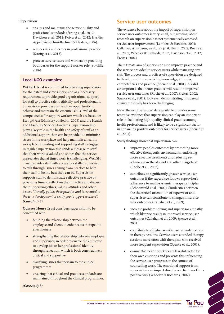#### Supervision:

- ensures and maintains the service quality and professional standards (Strong et al., 2012; Davidson et al., 2012; Koivu et al., 2012; Hyrkäs, Appelqvist-Schmidlechner & Haataja, 2006).
- reduces risk and errors in professional practice (Strong et al., 2012).
- protects service users and workers by providing boundaries for the support worker role (Sutcliffe, 2006).

#### **Local NGO examples:**

WALSH Trust is committed to providing supervision for their staff and view supervision as a necessary requirement to provide good organisational support for staff to practice safely, ethically and professionally. Supervision provides staff with an opportunity to achieve and maintain the essential skills level of the competencies for support workers which are based on *Let's get real* (Ministry of Health, 2008) and the Health and Disability Service Standards. Supervision also plays a key role in the health and safety of staff as an additional support than can be provided to minimise stress in the workplace and help maintain a healthy workplace. Providing and supporting staff to engage in regular supervision also sends a message to staff that their work is valued and shows that the service appreciates that at times work is challenging*.* WALSH Trust provides staff with access to a skilled supervisor to talk through issues arising from practice to help their staff to be the best they can be. Supervision supports staff to demonstrate reflective practice by providing time to reflect on their practice and discuss their underlying ethics, values, attitudes and other issues. *"It really guides their practice and is essential to the true development of really good support workers". (Case study 8)*

**Odyssey House Trust** considers supervision to be concerned with:

- building the relationship between the employee and client, to enhance its therapeutic effectiveness
- strengthening the relationship between employee and supervisor, in order to enable the employee to develop his or her professional identity through reflection, which is both constructively critical and supportive
- clarifying issues that pertain to the clinical programmes
- ensuring that ethical and practice standards are maintained throughout the clinical programmes.

*(Case study 3)*

### **Service user outcomes**

The evidence base about the impact of supervision on service user outcomes is very small, but growing. Most research on supervision has not systematically assessed service user improvement (Lambert & Hawkins, 2001; Callahan, Almstrom, Swift, Borja, & Heath, 2009; Roche et al., 2007; Wheeler & Richards, 2007; Davidson et al., 2012; Freitas, 2002).

The ultimate aim of supervision is to improve practice and the service provided to service users while managing any risk. The process and practices of supervision are designed to develop and improve skills, knowledge, attitudes, competencies and practice (Spence et al., 2001). A valid assumption is that better practice will result in improved service user outcomes (Roche et al., 2007; Freitas, 2002; Spence et al., 2001). However, demonstrating this casual chain empirically has been challenging.

Nevertheless, the limited data available provides some tentative evidence that supervision can play an important role in facilitating high-quality clinical practice among health professionals, and is likely to be a significant factor in enhancing positive outcomes for service users (Spence et al., 2001).

Study findings show that supervision can:

- improve people's outcomes by promoting more effective therapeutic environments, endorsing more effective treatments and reducing readmission in the alcohol and other drugs field (Roche et al., 2007).
- contribute to significantly greater service user outcomes if the supervisee follows supervisor's adherence to multi-systemic therapy principles (Schoenwald et al., 2009). Similarities between the theoretical orientation of supervisor and supervisee can contribute to changes in service user outcomes (Callahan et al., 2009).
- increase problem solving and supervisor empathy which likewise results in improved service user outcomes (Callahan et al., 2009; Spence et al., 2001).
- contribute to a higher service user attendance rate in therapy sessions. Service users attended therapy sessions more often with therapists who received more frequent supervision (Spence et al., 2001).
- ensure that health workers are less distracted by their own emotions and prevents this influencing the service user processes in the context of counselling work. The emotional support from supervision can impact directly on client work in a positive way (Wheeler & Richards, 2007).

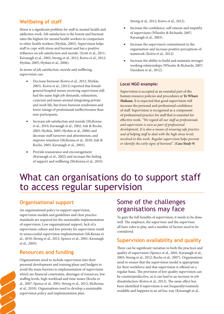## **Wellbeing of staff**

Stress is a significant problem for staff in mental health and addiction work. Job satisfaction is the lowest and burnout rates the highest for mental health workers in comparison to other health workers (Hyrkäs, 2005). Supervision helps staff to cope with stress and burnout and has a positive influence on job satisfaction and morale. (Scott et al., 2011; Kavanagh et al., 2002; Strong et al., 2012; Koivu et al., 2012; Hyrkäs, 2005; Hyrkäs et al., 2006).

In terms of job satisfaction, morale and wellbeing, supervision can:

- Decrease burnout (Koivu et al., 2012; Hyrkäs, 2005). Koivu et al., (2012) reported that female general hospital nurses receiving supervision still had the same high job demands, exhaustion, cynicism and issues around integrating private and work life, but fewer burnout syndromes and lower ratings of professional ineffectiveness than non-participants.
- Increase job satisfaction and morale (McKenna et al., 2010; Kavanagh et al., 2002; Ask & Roche, 2005; Hyrkäs, 2005; Hyrkäs et al., 2006) and decrease staff turnover and absenteeism, and improve retention (McKenna et al., 2010; Ask & Roche, 2005; Kavanagh et al., 2003).
- Provide reassurance and encouragement (Kavanagh et al., 2002) and increase the feeling of support and wellbeing (McKenna et al., 2010;

Strong et al., 2012; Koivu et al., 2012).

- Increase the confidence, self-esteem and empathy of supervisees (Wheeler & Richards, 2007; Kavanagh et al., 2003).
- • Increase the supervisee's commitment to the organisation and increase positive perceptions of teamwork (Koivu et al., 2012).
- Increase the ability to build and maintain stronger working relationships (Wheeler & Richards, 2007; Davidson et al., 2012).

#### **Local NGO example:**

Supervision is accepted as an essential part of the human resource policies and procedures at **Te Whare Mahana**. It is expected that good supervision will increase the personal and professional confidence of staff. Supervision is recognised as a component of professional practice for staff that is essential for effective work. *"We regard all our staff as professionals and supervision is seen as part of professional development. It is also a means of ensuring safe practice and of helping staff to deal with the high stress levels involved in this work. Regular supervision helps prevent or identify the early signs of burnout". (Case Study 9)*

# What can organisations do to support staff to access regular supervision

## **Organisational support**

An organisational policy to support supervision, supervision models and guidelines and clear practice standards are required for the sustainable implementation of supervision. Low organisational support, lack of a supervision culture and low priority for supervision result in unsuccessful supervision implementation (McKenna et al., 2010; Strong et al., 2012; Spence et al., 2001; Kavanagh et al., 2003).

### **Resources and funding**

12

Organisations need to include supervision into their personal development and training plans and budgets to avoid the main barriers to implementation of supervision which are financial constraints, shortages of resources, low staffing levels, high workload and time issues (Roche et al., 2007; Spence et al., 2001; Strong et al., 2012; McKenna et al., 2010). Organisations need to develop a sustainable supervision policy and implementation plan.

## Some of the challenges organisations may face

To gain the full benefits of supervision, it needs to be done well. The employer, the supervisor and the supervisee all have roles to play, and a number of factors need to be considered.

### **Supervision availability and quality**

There can be significant variation in both the practices and quality of supervision (Spence et al., 2001; Kavanagh et al., 2003; Strong et al., 2012; Roche et al., 2007). Organisations need to ensure that the supervision model is appropriate for their workforce and that supervision is offered on a regular basis. The provision of low quality supervision can be counterproductive, as it can lead to an increase in job dissatisfaction (Koivu et al., 2012). The same effect has been identified if supervision is not frequently/routinely available and happens in an ad hoc way (Kavanagh et al.,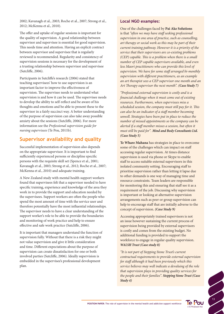2002; Kavanagh et al., 2003; Roche et al., 2007; Strong et al., 2012; McKenna et al., 2010).

The offer and uptake of regular sessions is important for the quality of supervision. A good relationship between supervisor and supervisee is essential for good supervision. This needs time and attention. Having an explicit contract between supervisor and supervisee that is regularly reviewed is recommended. Regularity and consistency of supervision sessions is necessary for the development of a trusting relationship between supervisor and supervisee (Sutcliffe, 2006).

Participants in Sutcliffe's research (2006) stated that teaching supervisees' how to use supervision is an important factor to improve the effectiveness of supervision. The supervisee needs to understand what supervision is and how it can be used. The supervisee needs to develop the ability to self-reflect and be aware of his thoughts and emotions and be able to present these to the supervisor in a fairly succinct way. A better understanding of the purpose of supervision can also take away possible anxiety about the sessions (Sutcliffe, 2006). For more information see the *Professional supervision guide for nursing supervisees* (Te Pou, 2011b).

### **Supervisor availability and quality**

Successful implementation of supervision also depends on the appropriate supervisor. It is important to find sufficiently experienced persons or discipline specific persons with the requisite skill set (Spence et al., 2001; Kavanagh et al., 2003; Strong et al., 2012; Roche et al., 2007; McKenna et al., 2010) and adequate training.

A New Zealand study with mental health support workers found that supervisees felt that a supervisor needed to have specific training, experience and knowledge of the area they work in to provide the support and education needed by the supervisees. Support workers are often the people who spend the most amount of time with the service user and therefore potentially have the most influential relationships. The supervisor needs to have a clear understanding of the support worker's role to be able to provide the boundaries and monitoring of work practice and help to ensure effective and safe work practice (Sutcliffe, 2006).

It is important that managers understand the function of supervision fully. Without that there is a risk they might not value supervision and give it little consideration and time. Different expectations about the purpose of supervision can create dissatisfaction for one or both involved parties (Sutcliffe, 2006). Ideally supervision is embedded in the supervisee's professional development plan.

#### **Local NGO examples:**

One of the challenges faced by **Pai Ake Solutions** is that *"often we may have staff seeking professional supervision in one area of practice, such as counselling, art therapy or social work as this may be part of their current training pathway. However it is a priority of the service that their supervisors are co-existing problems (CEP) capable. This is a problem when there is a small number of CEP capable supervisors available, and even less Maori practitioners who can provide this level of supervision. We have for some staff arranged bi-monthly supervision with different practitioners, as an example an art therapist sees a CEP supervisor one month and an Art Therapy supervisor the next month". (Case Study 7)*

*"Professional external supervision is costly and is a financial challenge when it must come out of existing resources. Furthermore, when supervisees miss a scheduled session, the company must still pay for it. This can also be an indicator of a staff member becoming unwell. Strategies have been put in place to reduce the number of missed appointments so the company can be alerted if a staff member misses a session, but often it must still be paid for". Mind and Body Consultants Ltd. (Case Study 5)*

**Te Whare Mahana** has strategies in place to overcome some of the challenges which can impact on staff accessing regular supervision. At times distance supervision is used via phone or Skype to enable staff to access suitable external supervisors in this isolated community setting. Encouraging staff to prioritise supervision rather than letting it lapse due to other demands is one way of managing time and resource constraints. Team leaders are responsible for monitoring this and ensuring that staff see it as a requirement of the job. Discussing why supervision is important or looking at alternative supervision arrangements such as peer or group supervision can help to encourage staff that are initially adverse to the concept of supervision. *(Case Study 9)*

Accessing appropriately trained supervisors is not an issue however sustaining the current process of supervision being provided by external supervisors is costly and comes from the existing budget. No additional funding is provided to support the workforce to engage in regular quality supervision. *WALSH Trust (Case study 8)*

*"It is not part of Stepping Stone Trust's current contractual requirements to provide external supervision for staff although it had been previously which this service believes may well indicate a devaluing of the role that supervision plays in providing quality services for the people and their families". Stepping Stone Trust (Case Study 4)*

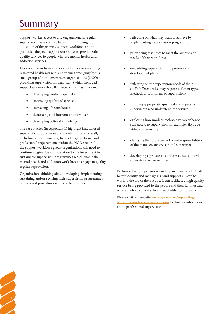# Summary

Support worker access to and engagement in regular supervision has a key role to play in improving the utilisation of the growing support workforce and in particular the peer support workforce, to provide safe quality services to people who use mental health and addiction services.

Evidence drawn from studies about supervision among registered health workers, and themes emerging from a small group of non-government organisations (NGO's) providing supervision for their staff, (which included support workers) show that supervision has a role in:

- developing worker capability
- improving quality of services
- increasing job satisfaction
- decreasing staff burnout and turnover
- developing cultural knowledge

The case studies (in Appendix 1) highlight that tailored supervision programmes are already in place for staff, including support workers, to meet organisational and professional requirements within the NGO sector. As the support workforce grows organisations will need to continue to give due consideration to the investment in sustainable supervision programmes which enable the mental health and addiction workforce to engage in quality regular supervision.

Organisations thinking about developing, implementing, sustaining and/or revising their supervision programmes, policies and procedures will need to consider:

<sup>14</sup>

- reflecting on what they want to achieve by implementing a supervision programme
- prioritising resources to meet the supervision needs of their workforce
- embedding supervision into professional development plans
- • reflecting on the supervision needs of their staff (different roles may require different types, methods and/or forms of supervision)
- • sourcing appropriate, qualified and reputable supervisors who understand the service
- exploring how modern technology can enhance staff access to supervision for example, Skype or video conferencing
- • clarifying the respective roles and responsibilities of the manager, supervisor and supervisee
- developing a process so staff can access cultural supervision when required.

Performed well, supervision can help increase productivity; better identify and manage risk and support all staff to work to the top of their scope. It can facilitate a high quality service being provided to the people and their families and whanau who use mental health and addiction services.

Please visit our website www.tepou.co.nz/supportingworkforce/professional-supervision for further information about professional supervision.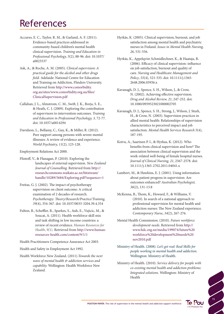# References

- Accurso, E. C., Taylor, R. M., & Garland, A. F. (2011). Evidence-based practices addressed in community-based children's mental health clinical supervision. *Training and Education in Professional Psychology, 5*(2), 88-96. doi: 10.1037/ a0023537
- Ask, A., & Roche, A. M. (2005). *Clinical supervision: A practical guide for the alcohol and other drugs field.* Adelaide: National Centre for Education and Training on Addiction, Flinders University. Retrieved from http://www.comorbidity. org.au/sites/www.comorbidity.org.au/files/ ClinicalSupervision.pdf
- Callahan, J. L., Almstrom, C. M., Swift, J. K., Borja, S. E., & Heath, C. J. (2009). Exploring the contribution of supervisors to intervention outcomes. *Training and Education in Professional Psychology, 3,* 72-77. doi: 10.1037/a0014294
- Davidson, L., Bellamy, C., Guy, K., & Miller, R. (2012). Peer support among persons with severe mental illnesses: A review of evidence and experience. *World Psychiatry, 11*(2), 123-128.

Employment Relations Act 2000.

- Flintoff, V., & Flanagan, P. (2010). Exploring the landscapes of external supervision. *New Zealand Journal of Counselling.* Retrieved from http:// researchcommons.waikato.ac.nz/bitstream/ handle/10289/5684/Exploring.pdf?sequence=1
- Freitas, G. J. (2002). The impact of psychotherapy supervision on client outcome: A critical examination of 2 decades of research. *Psychotherapy: Theory/Research/Practice/Training, 39*(4), 354-367. doi: 10.1037/0033-3204.39.4.354
- Fulton, B., Scheffler, R., Sparkes, S., Auh, E., Vujicic, M., & Soucat, A. (2011). Health workforce skill mix and task shifting in low income countries: a review of recent evidence. *Human Resources for Health*, *9(*1). Retrieved from http://www.humanresources-health.com/content/9/1/1

Health Practitioners Competence Assurance Act 2003.

Health and Safety in Employment Act 1992.

Health Workforce New Zealand. (2011).*Towards the next wave of mental health & addiction services and capability.* Wellington: Health Workforce New Zealand.

- Hyrkäs, K. (2005). Clinical supervision, burnout, and job satisfaction among mental health and psychiatric nurses in Finland. *Issues in Mental Health Nursing, 26*, 531-556.
- Hyrkäs, K., Appelqvist-Schmidlechner, K., & Haataja, R. (2006). Efficacy of clinical supervision: influence on job satisfaction, burnout and quality of care. *Nursing and Healthcare Management and Policy*, *55*(4), 521-535. doi: 10.1111/j.1365- 2648.2006.03936.x
- Kavanagh, D. J., Spence, S. H., Wilson, J., & Crow, N. (2002). Achieving effective supervision. *Drug and Alcohol Review, 21*, 247-252. doi: 10.1080/0959523021000002705
- Kavanagh, D. J., Spence, S. H., Strong, J., Wilson, J. Sturk, H., & Crow, N. (2003). Supervision practices in allied mental health: Relationships of supervision characteristics to perceived impact and job satisfaction. *Mental Health Services Research 5*(4), 187-195.
- Koivu, A., Saarinen P. I., & Hyrkas, K. (2012). Who benefits from clinical supervision and how? The association between clinical supervision and the work-related well-being of female hospital nurses. *Journal of Clinical Nursing, 21*, 2567-2578. doi: 10.1111/j.1365-2702.2011.04041.x
- Lambert, M., & Hawkins, E. J. (2001). Using information about patient progress in supervision: Are outcomes enhanced? *Australian Psychologist, 36*(2), 131-13.8
- McKenna, B., Thom, K., Howard, F., & Williams, V. (2010). In search of a national approach to professional supervision for mental health and addiction nurses: The New Zealand experience. *Contemporary Nurse*, *34*(2), 267-276.
- Mental Health Commission. (2010). *Future workforce development needs*. Retrieved from http:// www.hdc.org.nz/media/199074/future%20 workforce%20development%20needs%20 nov2010.pdf
- Ministry of Health. (2008). *Let's get real: Real Skills for people working in mental health and addiction*. Wellington: Ministry of Health.
- Ministry of Health. (2010). *Service delivery for people with co-existing mental health and addiction problems: Integrated solutions.* Wellington: Ministry of Health

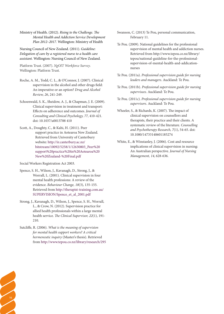Ministry of Health. (2012). *Rising to the Challenge. The Mental Health and Addiction Service Development Plan 2012–2017.* Wellington: Ministry of Health

Nursing Council of New Zealand. (2011). *Guideline: Delegation of care by a registered nurse to a health care assistant.* Wellington: Nursing Council of New Zealand.

Platform Trust. (2007). *NgOIT Workforce Survey*. Wellington: Platform Trust.

- Roche, A. M., Todd, C. L., & O'Connor, J. (2007). Clinical supervision in the alcohol and other drugs field: An imperative or an option? *Drug and Alcohol Review, 26*, 241-249.
- Schoenwald, S. K., Sheidow, A. J., & Chapman, J. E. (2009). Clinical supervision in treatment and transport: Effects on adherence and outcomes. *Journal of Consulting and Clinical Psychology, 77*, 410-421. doi: 10.1037/a0013788 410
- Scott, A., Doughty, C., & Kahi, H. (2011). Peer support practice in Aotearoa New Zealand. Retrieved from University of Canterbury website: http://ir.canterbury.ac.nz/ bitstream/10092/5258/1/12630803\_Peer%20 support%20practice%20in%20Aotearoa%20 New%20Zealand-%20Final.pdf

Social Workers Registration Act 2003.

- Spence, S. H., Wilson, J., Kavanagh, D., Strong, J., & Worrall, L. (2001). Clinical supervision in four mental health professions: A review of the evidence. *Behaviour Change, 18*(3), 135-155. Retrieved from http://therapist-training.com.au/ SUPERVISION/Spence\_et\_al\_2001.pdf
- Strong, J., Kavanagh, D., Wilson, J., Spence, S. H., Worrall, L., & Crow, N. (2012). Supervision practice for allied health professionals within a large mental health service. *The Clinical Supervisor, 22*(1), 191- 210.
- Sutcliffe, R. (2006). *What is the meaning of supervision for mental health support workers? A critical hermeneutic inquiry* (Master's thesis). Retrieved from http://www.tepou.co.nz/library/research/295
- Swanson, C. (2013) Te Pou, personal communication, February 11.
- Te Pou. (2009). National guidelines for the professional supervision of mental health and addiction nurses. Retrieved from http://www.tepou.co.nz/library/ tepou/national-guideline-for-the-professionalsupervision-of-mental-health-and-addicationnurses
- Te Pou. (2011a). *Professional supervision guide for nursing leaders and managers*. Auckland: Te Pou.
- Te Pou. (2011b). *Professional supervision guide for nursing supervisees*. Auckland: Te Pou.
- Te Pou. (2011c). *Professional supervision guide for nursing supervisors*. Auckland: Te Pou.
- Wheeler, S., & Richards, K. (2007). The impact of clinical supervision on counsellors and therapists, their practice and their clients. A systematic review of the literature. *Counselling and Psychotherapy Research, 7*(1), 54-65. doi: 10.1080/14733140601185274
- White, E., & Winstanley, J. (2006). Cost and resource implications of clinical supervision in nursing: An Australian perspective. *Journal of Nursing Management, 14*, 628-636.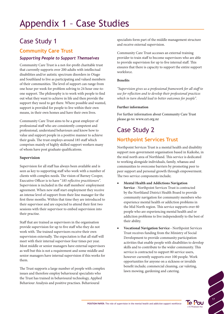# Appendix 1 – Case Studies

# Case Study 1

## **Community Care Trust**

### *Supporting People to Support Themselves*

Community Care Trust is a not-for-profit charitable trust that currently supports over 200 adults with intellectual disabilities and/or autistic spectrum disorders in Otago and Southland to live as participating and valued members of their communities. The level of support can range from one hour per week for problem solving to 24 hour one-toone support. The philosophy is to work with people to find out what they want to achieve in life and then provide the support they need to get there. Where possible and wanted, support is provided for people to live within their own means, in their own homes and have their own lives.

Community Care Trust aims to be a great employer of professional staff who are consistently competent and professional, understand behaviours and know how to value and support people in a positive manner to achieve their goals. The trust employs around 185 staff which comprises mainly of highly skilled support workers many of whom have post graduate qualifications.

#### **Supervision**

Supervision for all staff has always been available and is seen as key to supporting staff who work with a number of clients with complex needs. The vision of Barney Cooper, Executive Officer is to have "*185 reflective practitioners"*. Supervision is included in the staff members' employment agreement. When new staff start employment they receive an intense level of support from their line manager for the first three months. Within that time they are introduced to their supervisor and are expected to attend their first two sessions with their supervisor to embed supervision into their practise.

Staff that are trained as supervisors in the organisation provide supervision for up to five staff who they do not work with. The trained supervisors receive their own supervision externally. The expectation is that all staff will meet with their internal supervisor four times per year. Most middle or senior managers have external supervisors as well but this is not a requirement and some middle and senior managers have internal supervision if this works for them.

The Trust supports a large number of people with complex issues and therefore employ behavioural specialists who the Trust has trained in behavioural technology, Applied Behaviour Analysis and positive practises. Behavioural

specialists form part of the middle management structure and receive external supervision.

Community Care Trust accesses an external training provider to train staff to become supervisors who are able to provide supervision for up to five internal staff. This ensures that there is capacity to support the entire support workforce.

#### **Benefits**

*"Supervision gives us a professional framework for all staff to use for reflection and to develop their professional practices which in turn should lead to better outcomes for people".* 

#### **Further information**

For further information about Community Care Trust please go to: www.cct.org.nz

# Case Study 2 **Northpoint Services Trust**

Northpoint Services Trust is a mental health and disability support non-government organisation based in Kaikohe, in the mid north area of Northland. This service is dedicated to working alongside individuals, family, whanau and communities to overcome barriers by promoting peer to peer support and personal growth through empowerment. The two service components include;

- **Mental Health and Addictions Navigation Service** - Northpoint Services Trust is contracted by the Northland District Health Board to provide community navigation for community members who experience mental health or addiction problems in the Mid North region. This service supports over 60 people who are experiencing mental health and or addiction problems to live independently to the best of their ability.
- **Vocational Navigation Service Northpoint Services** Trust receives funding from the Ministry of Social Development to provide community participation activities that enable people with disabilities to develop skills and to contribute to the wider community. This service is contracted to support 80 service users, however currently supports over 100 people. Work opportunities for anyone on a sickness or invalids benefit include; commercial cleaning, car valeting, lawn mowing, gardening and catering.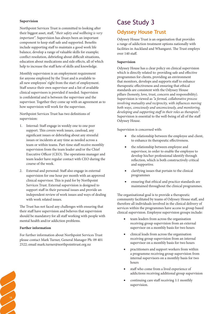#### **Supervision**

Northpoint Services Trust is committed to looking after their biggest asset, staff, "*their safety and wellbeing is very important".* Supervision has always been an important component to keep staff safe and supported. Benefits include supporting staff to maintain a good work life balance, develop a range of valuable skills for example; conflict resolution, debriefing about difficult situations, education about medications and side effects, all of which help to increase the staff kete of skills and knowledge.

Monthly supervision is an employment requirement for anyone employed by the Trust and is available to all new employees' right from the start of employment. Staff source their own supervisor and a list of available clinical supervisors is provided if needed. Supervision is confidential and is between the supervisee and the supervisor. Together they come up with an agreement as to how supervision will work for the supervisee.

Northpoint Services Trust has two definitions of supervision:

- 1. Internal: Staff engage in weekly one to one peer support. This covers work issues, caseload, any significant issues or debriefing about any stressful issues or incidents at any time as needed across a team or within teams. Part-time staff receive monthly supervision from the team leader and/or the Chief Executive Officer (CEO). The operations manager and team leader have regular contact with CEO during the course of the week.
- 2. External and personal: Staff also engage in external supervision for one hour per month with an approved clinical supervisor. This is paid for by Northpoint Services Trust. External supervision is designed to support staff in their personal issues and provide an independent review of work issues and ways of dealing with work related issues.

The Trust has not faced any challenges with ensuring that their staff have supervision and believes that supervision should be mandatory for all staff working with people with mental health and/or addiction problems.

#### **Further information**

18

For further information about Northpoint Services Trust please contact Mark Turner, General Manager Ph: 09 401 2522; email mark.turner@northpointtrust.org.nz

## Case Study 3

## **Odyssey House Trust**

Odyssey House Trust is an organisation that provides a range of addiction treatment options nationally with facilities in Auckland and Whangarei. The Trust employs over 140 staff.

#### **Supervision**

Odyssey House has a clear policy on clinical supervision which is directly related to: providing safe and effective programmes for clients, providing an environment that monitors, develops and supports staff to enhance therapeutic effectiveness and ensuring that ethical standards are consistent with the Odyssey House pillars (honesty, love, trust, concern and responsibility). Supervision is viewed as *"a formal, collaborative process involving mutuality and reciprocity, with influences moving both ways, consciously and unconsciously, and monitoring, developing and supporting staff in their roles as therapists".* Supervision is essential to the well-being of all of the staff Odyssey House.

Supervision is concerned with:

- the relationship between the employee and client, to enhance its therapeutic effectiveness.
- the relationship between employee and supervisor, in order to enable the employee to develop his/her professional identify through reflection, which is both constructively critical and supportive.
- clarifying issues that pertain to the clinical programmes
- ensuring that ethical and practice standards are maintained throughout the clinical programmes.

The organisational goal is to provide a therapeutic community facilitated by teams of Odyssey House staff, and therefore all individuals involved in the clinical delivery of services within the programmes have access to group based clinical supervision. Employee supervision groups include:

- team leaders from across the organisation receiving group supervision from an external supervisor on a monthly basis for two hours
- clinical leads from across the organisation receiving group supervision from an internal supervisor on a monthly basis for two hours
- practitioners and support workers from within a programme receiving group supervision from internal supervisors on a monthly basis for two hours
- staff who come from a lived experience of addictions receiving additional group supervision
- continuing care staff receiving 1:1 monthly supervision.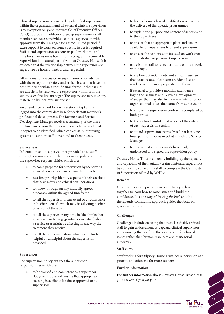Clinical supervision is provided by identified supervisors within the organisation and all external clinical supervision is by exception only and requires Chief Executive Officer (CEO) approval. In addition to group supervision a staff member can access individual clinical supervision with approval from their manger for a time limited period if extra support to work on some specific issues is required. Staff attend supervision sessions in paid work time and time for supervision is built into the programme timetable. Supervision is a natural part of work at Odyssey House. It is expected that the relationship between the supervisor and supervisee be honest, trustful and respectful.

All information discussed in supervision is confidential with the exception of safety and ethical issues that have not been resolved within a specific time frame. If these issues are unable to be resolved the supervisor will inform the supervisee's first line manager. The supervisor may take any material to his/her own supervisor.

An attendance record for each session is kept and is logged into the central data base for each staff member's professional development. The Business and Service Development Manager receives a summary of the three top line issues from the supervisors which enables trends in topics to be identified, which can assist in improving systems to support staff to respond to client needs.

#### **Supervisees**

Information about supervision is provided to all staff during their orientation. The supervision policy outlines the supervisee responsibilities which are:

- to come prepared for supervision by identifying areas of concern or issues from their practice
- as a first priority, identify aspects of their caseload that have safety and ethical considerations
- to follow through on any mutually agreed outcomes within the agreed timeframe
- to tell the supervisor of any event or circumstance in his/her own life which may be affecting his/her provision of therapy
- to tell the supervisor any time he/she thinks that an attitude or feeling (positive or negative) about a service user might be affecting in any way the treatment they receive
- to tell the supervisor about what he/she finds helpful or unhelpful about the supervision provided

#### **Supervisors**

The supervision policy outlines the supervisor responsibilities which are:

> to be trained and competent as a supervisor (Odyssey House will ensure that appropriate training is available for those approved to be supervisors).

- • to hold a formal clinical qualification relevant to the delivery of therapeutic programmes
- • to explain the purpose and content of supervision to the supervisees
- to ensure that an appropriate place and time is available for supervisees to attend supervision
- to ensure the sessions stay focused on work (not administrative or personal) supervision
- to assist the staff to reflect critically on their work with people
- to explore potential safety and ethical issues so that actual issues of concern are identified and resolved within an appropriate timeframe
- if external to provide a monthly attendance log to the Business and Service Development Manager that may also include administration or organisational issues that come from supervision
- to ensure the supervision contract is completed by both parties
- to keep a brief confidential record of the outcome of each supervision session
- to attend supervision themselves for at least one hour per month or as negotiated with the Service Manager
- • to ensure that all supervisee's have read, understood and signed the supervision policy.

Odyssey House Trust is currently building up the capacity and capability of their suitably trained internal supervisors by supporting some of the staff to complete the Certificate in Supervision offered by WelTec.

#### **Benefits**

Group supervision provides an opportunity to learn together to learn how to raise issues and build the confidence. It is one way of *"raising the bar"* and the therapeutic community approach guides the focus on group supervision.

#### **Challenges**

Challenges include ensuring that there is suitably trained staff to gain endorsement as dapaanz clinical supervisors and ensuring that staff use the supervision for clinical issues rather than human resources and managerial concerns.

#### **Staff views**

Staff working for Odyssey House Trust, see supervision as a priority and often ask for more sessions.

#### **Further information**

For further information about Odyssey House Trust please go to: www.odyssey.org.nz

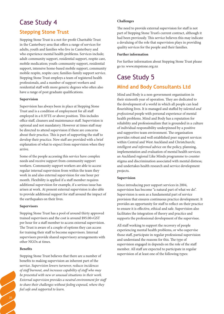# Case Study 4

## **Stepping Stone Trust**

Stepping Stone Trust is a not-for-profit Charitable Trust in the Canterbury area that offers a range of services for adults, youth and families who live in Canterbury and who experience mental health problems. Services include; adult-community support, residential support, respite care, mobile medication; youth-community support, residential support, intensive home-based mobile support, community mobile respite, respite care; families-family support service. Stepping Stone Trust employs a team of registered health professionals, and a number of support workers and residential staff with more generic degrees who often also have a range of post graduate qualifications.

#### **Supervision**

Supervision has always been in place at Stepping Stone Trust and is a condition of employment for all staff employed in a 0.5FTE or above position. This includes office staff, cleaners and maintenance staff. Supervision is optional and not mandatory. However at times staff may be directed to attend supervision if there are concerns about their practice. This is part of supporting the staff to develop their practice. New staff are provided with a brief explanation of what to expect from supervision when they arrive.

Some of the people accessing this service have complex needs and receive support from community support workers. Community support workers are able to access regular internal supervision from within the team they work in and also external supervision for one hour per month. Flexibility is applied if a staff member requires additional supervision for example, if a serious issue has arisen at work. At present external supervision is also able to provide additional support for staff around the impact of the earthquakes on their lives.

#### **Supervisors**

Stepping Stone Trust has a pool of around thirty approved trained supervisors and the cost is around \$95.00+GST per hour for a staff member to access external supervision. The Trust is aware of a couple of options they can access for training their staff to become supervisors. Internal supervisors provide shared supervisory arrangements with other NGOs at times.

#### **Benefits**

20

Stepping Stone Trust believes that there are a number of benefits to making supervision an inherent part of the service. *Supervision lowers turnover, reduces incidences of staff burnout, and increases capability of staff who may be presented with new or unusual situations in their work. External supervision provides a neutral environment for staff to share their challenges without feeling exposed, where they feel safe and supported to learn.*

#### **Challenges**

The need to provide external supervision for staff is not part of Stepping Stone Trust's current contract, although it had been previously. This service believes this may indicate a devaluing of the role that supervision plays in providing quality services for the people and their families.

#### **Further information**

For further information about Stepping Stone Trust please go to: www.stepstone.org.nz

# Case Study 5

## **Mind and Body Consultants Ltd**

Mind and Body is a non-government organisation in their sixteenth year of operation. They are dedicated to the development of a world in which all people can lead flourishing lives. It is managed and staffed by *talented and professional* people with personal experience of mental health problems. Mind and Body has a reputation for reliability and professionalism that is grounded in a culture of individual responsibility underpinned by a positive and supportive team environment. The organisation provides robust and well established peer support services within Central and West Auckland and Christchurch; *intelligent and informed* advice on the policy, planning, implementation and evaluation of mental health services; an Auckland regional Like Minds programme to counter stigma and discrimination associated with mental distress; and undertakes health research and service development projects.

#### **Supervision**

Since introducing peer support services in 2004, supervision has become "a natural part of what we do". Supervision is seen as a fundamental part of service provision that ensures continuous practice development. It provides an opportunity for staff to reflect on their practice to ensure it is effective, ethical and safe. Supervision also facilitates the integration of theory and practice and supports the professional development of the supervisee.

All staff working to support the recovery of people experiencing mental health problems, or who supervise those staff, participate in regular professional supervision and understand the reasons for this. The type of supervision engaged in depends on the role of the staff member. All staff are expected to participate in regular supervision of at least one of the following types: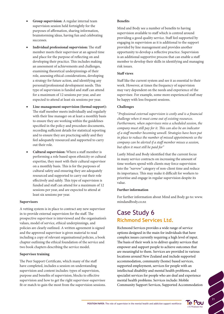- **Group supervision:** A regular internal team supervision session held fortnightly for the purposes of affirmation, sharing information, brainstorming ideas, having fun and celebrating successes.
- **Individual professional supervision:** The staff member meets their supervisor at an agreed time and place for the purpose of reflecting on and developing their practice. This includes making an assessment of achievements and challenges, examining theoretical underpinnings of their role, assessing ethical considerations, developing a strategy for future action, and identifying any personal/professional development needs. This type of supervision is funded and staff can attend for a maximum of 12 sessions per year, and are expected to attend at least six sessions per year.
- Line-management supervision (formal support): The staff member meets individually and regularly with their line manager on at least a monthly basis to ensure they are working within the guidelines specified in the policy and procedure documents, recording sufficient details for statistical reporting and to ensure they are practicing safely and they feel adequately resourced and supported to carry out their role.
- **Cultural supervision:** Where a staff member is performing a role based upon ethnicity or cultural expertise, they meet with their cultural supervisor on a monthly basis. This is for the purposes of cultural safety and ensuring they are adequately resourced and supported to carry out their role effectively and safely. This type of supervision is funded and staff can attend for a maximum of 12 sessions per year, and are expected to attend at least six sessions per year.

#### **Supervisors**

A vetting system is in place to contract any new supervisor in to provide external supervision for the staff. The prospective supervisor is interviewed and the organisation's values, model of service, ethical underpinnings, and policies are clearly outlined. A written agreement is signed and the approved supervisor is given material to read including a copy of relevant organisational policies, a book chapter outlining the ethical foundation of the service and two book chapters describing the service model.

#### **Supervisee training**

The Peer Support Certificate, which many of the staff have completed, includes a session on understanding supervision and content includes: types of supervision, purpose and benefits of supervision, blocks to effective supervision and how to get the right supervisor-supervisee fit or match to gain the most from the supervision sessions.

#### **Benefits**

Mind and Body see a number of benefits to having supervision available to staff which is centred around providing a good quality service. Staff feel supported by engaging in supervision as it is additional to the support provided by line management and provides another opportunity to develop a reflective practice. Supervision is an additional supportive process that can enable a staff member to develop their skills in identifying and managing risk issues.

#### **Staff views**

Staff like the current system and see it as essential to their work. However, at times the frequency of supervision may vary dependent on the needs and experience of the supervisee. For example, some more experienced staff may be happy with less frequent sessions.

#### **Challenges**

"*Professional external supervision is costly and is a financial challenge when it must come out of existing resources. Furthermore, when supervisees miss a scheduled session, the company must still pay for it. This can also be an indicator of a staff member becoming unwell. Strategies have been put in place to reduce the number of missed appointments so the company can be alerted if a staff member misses a session, but often it must still be paid for"*

Lastly Mind and Body identified that the current focus in many service contracts on increasing the amount of time workers spend with clients may force supervision into the *"narrow"* category of non-client time and reduce its importance. This may make it difficult for workers to prioritise and engage in regular supervision despite its value.

#### **Further information**

For further information about Mind and Body go to: www. mindandbody.co.nz

## Case Study 6 **Richmond Services Ltd.**

Richmond Services provides a wide range of service options designed in the main for individuals that have complex issues currently requiring a high level of input. The basis of their work is to deliver quality services that empower and support people to achieve outcomes that are meaningful to them. Services are provided in various locations around New Zealand and include supported accommodation, community (home) based services, supported employment, services for people with an intellectual disability and mental health problems, and specialist services for people who are deaf and experience mental health problems. Services include: Mobile Community Support Services, Supported Accommodation

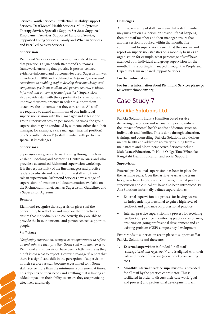Services, Youth Services, Intellectual Disability Support Services, Deaf Mental Health Services, Multi Systemic Therapy Service, Specialist Support Services, Supported Employment Services, Supported Landlord Service, Supported Living Services, Family and Whānau Services and Peer Led Activity Services.

#### **Supervision**

Richmond Services view supervision as critical to ensuring that practice is aligned with Richmond's outcomes framework, ensuring that practice is person-centred, evidence-informed and outcomes-focused**.** Supervision was introduced in 2004 and is defined as *"a formal process that contributes to enabling staff to develop their knowledge and competence pertinent to client-led, person-centred, evidenceinformed and outcomes focused practice".* Supervision also provides staff with the opportunity to reflect on and improve their own practice in order to support them to achieve the outcomes that they care about. All staff are required to attend a minimum of one individual supervision session with their manager and at least one group supervision session per month. At times, the group supervision may be conducted by someone other than their manager, for example, a care manager (internal position) or a "consultant-friend" (a staff member with particular specialist knowledge).

#### **Supervisors**

Supervisors are given external training through the New Zealand Coaching and Mentoring Centre in Auckland who provide a customised Richmond supervision workshop. It is the responsibility of the line managers and practice leaders to educate and coach frontline staff as to their role in supervision. Richmond Services have a range of supervision information and documentation available on the Richmond intranet, such as Supervision Guidelines and a Supervision Agreement.

#### **Benefits**

Richmond recognise that supervision gives staff the opportunity to reflect on and improve their practice and ensure that individually and collectively, they are able to provide the best, intentional and person centred support to people.

#### **Staff views**

"*Staff enjoy supervision, seeing it as an opportunity to reflect on and enhance their practice*". Some staff who are newer to Richmond and supervision have been a little unsure as they didn't know what to expect. However, managers' report that there is a significant shift in the perception of supervision in their services as staff become accustomed to it. Some staff receive more than the minimum requirement at times. This depends on their needs and anything that is having an added impact on their ability to ensure they are practicing effectively and safely.

#### **Challenges**

At times, rostering of staff can mean that a staff member may miss out on a supervision session. If that happens, then the staff member and their manager ensure that another session is booked within that month. The commitment to supervision is such that they review and report on supervision statistics on a monthly basis as an organisation for example, what percentage of staff have attended both individual and group supervision for the month. This reporting is managed through the People and Capability team in Shared Support Services.

#### **Further information**

For further information about Richmond Services please go to: www.richmondnz.org

## Case Study 7 **Pai Ake Solutions Ltd.**

Pai Ake Solutions Ltd is a Hamilton based service delivering one on one and whanau support to reduce the impact of mental health and/or addiction issues on individuals and families. This is done through education, training, and counselling. Pai Ake Solutions also delivers mental health and addiction recovery training from a mainstream and Maori perspective. Services include Male Issues/Education, Te Hikoi O Nga Tane/Whanake, Rangatahi Health Education and Social Support.

#### **Supervision**

External professional supervision has been in place for the last nine years. Over the last five years as the team has grown from two to seven clinicians, internal practice supervision and clinical hui have also been introduced. Pai Ake Solutions informally defines supervision as:

- External supervision is a process for having access to an independent professional to gain a high level of feedback and guidance on professional practice
- Internal practice supervision is a process for receiving feedback on practice, monitoring practice compliance, ensuring on-going professional development and coexisting problem (CEP) competency development

Five strands to supervision are in place to support staff at Pai Ake Solutions and these are:

- **1. External supervision** is funded for all staff *"(unregistered and registered)"* and is aligned with their role and mode of practice (social work, counselling etc.).
- **2. Monthly internal practice supervision-** is provided for all staff by the practice coordinator. This is facilitated in order to discuss their case work (goal and process) and professional development. Each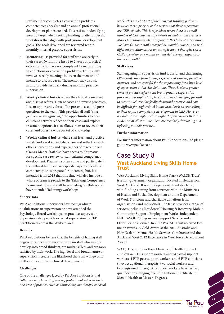staff member completes a co-existing problems competencies checklist and an annual professional development plan is created. This assists in identifying areas to target when seeking funding to attend specific workshops that align with professional development goals. The goals developed are reviewed within monthly internal practice supervision.

- **3. Mentoring –** is provided for staff who are early in their career (within the first 1 to 2 years of practice) or for staff who have not completed formal training in addictions or co-existing problems. This usually involves weekly meetings between the mentor and mentee to discuss cases. The mentor may also sit in and provide feedback during monthly practice supervision.
- **4. Weekly clinical hui** is where the clinical team meet and discuss referrals, triage cases and review processes. It is an opportunity for staff to present cases and pose questions to the team. This provides all staff *"(not just new or unregistered)"* the opportunities to hear clinicians actively reflect on their cases and explore treatment options. It also allows them to review their cases and access a wide basket of knowledge.
- **5. Weekly cultural hui** is where staff learn and practice waiata and karakia, and also share and reflect on each other's perceptions and experiences of te reo me ōna tikanga Maori. Staff also have access to Kaumatua for specific case review or staff cultural competency development. Kaumatua often come and participate in the cultural hui to discuss specific aspects of cultural competency or to prepare for upcoming hui. It is intended from 2013 that this time will also include a whole of team approach to the Takarangi Competency Framework. Several staff have existing portfolios and have attended Takarangi workshops.

#### **Supervisors**

Pai Ake Solutions supervisors have post graduate qualifications in supervision or have attended the Psychology Board workshops on practice supervision. Supervisors also provide external supervision to CEP practitioners across the Waikato area.

#### **Benefits**

Pai Ake Solutions believe that the benefits of having staff engage in supervision means they gain staff who rapidly develop into broad thinkers, are multi-skilled, and are more satisfied by their work. The high level and broad nature of supervision increases the likelihood that staff will go onto further education and clinical development.

#### **Challenges**

One of the challenges faced by Pai Ake Solutions is that "*often we may have staff seeking professional supervision in one area of practice, such as counselling, art therapy or social*  *work. This may be part of their current training pathway, however it is a priority of the service that their supervisors are CEP capable. This is a problem when there is a small number of CEP capable supervisors available, and even less Māori practitioners who can provide this level of supervision. We have for some staff arranged bi-monthly supervision with different practitioners As an example an art therapist sees a CEP supervisor one month and an Art Therapy supervisor the next month."*

#### **Staff views**

Staff engaging in supervision find it useful and challenging. *Often staff come from having experienced working for other agencies, and are grateful for the opportunity for a high level of supervision at Pai Ake Solutions. There is also a greater sense of practice safety with broad practice supervision processes and support in place. It can be challenging for staff to receive such regular feedback around practice, and can be difficult for staff trained in one area (such as counselling) to then require competency development in CEP. However a whole of team approach to support often ensures that it is evident that all team members are regularly developing and reflecting on their practice.* 

#### **Further information**

For further information about Pai Ake Solutions Ltd please go to: www.paiake.co.nz

## Case Study 8 **West Auckland Living Skills Home Trust**

West Auckland Living Skills Home Trust (WALSH Trust) is a non-government organisation located in Henderson, West Auckland. It is an independent charitable trust, with funding coming from contracts with the Ministries of Health and Social Development and the Department of Work & Income and charitable donations from organisations and individuals. The trust provides a range of services including Residential Housing & Recovery, Mobile Community Support, Employment Works, independent ENDEAVOURS, Jigsaw Peer Support Service and an Older Persons Service. In 2012 WALSH Trust received two major awards. A Gold Award at the 2012 Australia and New Zealand Mental Health Services Conference and the Auckland West 2012 Excellence in Workforce Development Award.

WALSH Trust under their Ministry of Health contract employs 42 FTE support workers and 24 casual support workers, 4 FTE peer support workers and 6 FTE clinicians (two occupational therapists, two social workers and two registered nurses). All support workers have tertiary qualifications, ranging from the National Certificate in Mental Health to Masters Degrees.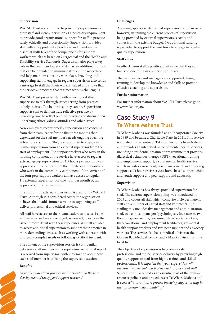#### **Supervision**

WALSH Trust is committed to providing supervision for their staff and view supervision as a necessary requirement to provide good organisational support for staff to practice safely, ethically and professionally. Supervision provides staff with an opportunity to achieve and maintain the essential skills level of the competencies for support workers which are based on *Lets get real* and the Health and Disability Service Standards. Supervision also plays a key role in the health and safety of staff as an additional support that can be provided to minimise stress in the workplace and help maintain a healthy workplace. Providing and supporting staff to engage in regular supervision also sends a message to staff that their work is valued and shows that the service appreciates that at times work is challenging.

WALSH Trust provides staff with access to a skilled supervisor to talk through issues arising from practice to help their staff to be the best they can be. Supervision supports staff to demonstrate reflective practice by providing time to reflect on their practice and discuss their underlying ethics, values, attitudes and other issues*.* 

New employees receive weekly supervision and coaching from their team leader for the first three months then dependent on the staff member's needs ongoing coaching at least once a month. They are supported to engage in regular supervision from an external supervisor from the start of employment. The support workers who work in the housing component of the service have access to regular external group supervision for 1.5 hours per month by an approved clinical supervisor. The mobile support workers who work in the community component of the service and the four peer support workers all have access to regular 1:1 external supervision for one hour per month by an approved clinical supervisor.

The cost of this external supervision is paid for by WALSH Trust. Although it is considered costly, the organisation believes that it adds immense value to supporting staff to deliver professional and ethical services.

All staff have access to their team leaders to discuss issues as they arise and are encouraged, as needed, to explore the issue in more detail with their supervisor. All staff are able to access additional supervision to support their practice in more demanding times such as working with a person with unusually complex needs or following a critical incident.

The content of the supervision session is confidential between a staff member and a supervisor. An annual report is received from supervisors with information about how each staff member is utilising the supervision session.

#### **Benefits**

24

*"It really guides their practice and is essential to the true development of really good support workers."* 

#### **Challenges**

Accessing appropriately trained supervisors is not an issue however, sustaining the current process of supervision being provided by external supervisors is costly and comes from the existing budget. No additional funding is provided to support the workforce to engage in regular quality supervision.

#### **Staff views**

Feedback from staff is positive. Staff value that they can focus on one thing in a supervision session.

The team leaders and managers are supported through training to develop the knowledge and skills to provide effective coaching and supervision.

#### **Further information**

For further information about WALSH Trust please go to: www.walsh.org.nz

## Case Study 9 **Te Whare Mahana Trust**

Te Whare Mahana was founded as an Incorporated Society in 1989 and became a Charitable Trust in 2011. This service is situated in the centre of Takaka, two hours from Nelson and provides an integrated range of mental health services, including a residential treatment programme that provides dialectical behaviour therapy (DBT), vocational training and employment support, a rural mental health service which includes assessment, case management and on-going support; a 24 hour crisis service; home based support; child and youth support and peer support and advocacy.

#### **Supervision**

Te Whare Mahana has always provided supervision for staff. The current supervision policy was introduced in 2005 and covers all staff which comprise of 26 permanent staff and a number of casual staff and volunteers. The staffing mix includes five management and administration staff, two clinical managers/psychologists, four nurses, two therapists/counsellors, two unregistered social workers, three vocational and employment facilitators, six mental health support workers and two peer support and advocacy workers. The service also has a medical advisor at the Golden Bay Medical Centre, and a Maori advisor from the local Iwi.

The objective of supervision is to promote safe, professional and ethical service delivery by providing high quality support to staff from highly trained and skilled professionals. *It is expected that good supervision will increase the personal and professional confidence of staff*. Supervision is accepted as an essential part of the human resource policies and procedures at Te Whare Mahana and is seen as "*a consultative process involving support of staff in their professional accountability."*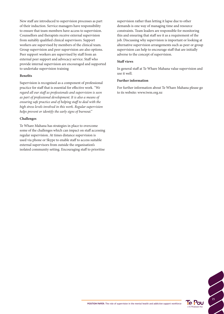New staff are introduced to supervision processes as part of their induction. Service managers have responsibility to ensure that team members have access to supervision. Counsellors and therapists receive external supervision from suitably qualified clinical supervisors. Support workers are supervised by members of the clinical team. Group supervision and peer supervision are also options. Peer support workers are supervised by staff from an external peer support and advocacy service. Staff who provide internal supervision are encouraged and supported to undertake supervision training

#### **Benefits**

Supervision is recognised as a component of professional practice for staff that is essential for effective work. *"We regard all our staff as professionals and supervision is seen as part of professional development. It is also a means of ensuring safe practice and of helping staff to deal with the high stress levels involved in this work. Regular supervision helps prevent or identify the early signs of burnout."*

#### **Challenges**

Te Whare Mahana has strategies in place to overcome some of the challenges which can impact on staff accessing regular supervision. At times distance supervision is used via phone or Skype to enable staff to access suitable external supervisors from outside the organisation's isolated community setting. Encouraging staff to prioritise

supervision rather than letting it lapse due to other demands is one way of managing time and resource constraints. Team leaders are responsible for monitoring this and ensuring that staff see it as a requirement of the job. Discussing why supervision is important or looking at alternative supervision arrangements such as peer or group supervision can help to encourage staff that are initially adverse to the concept of supervision.

#### **Staff views**

In general staff at Te Whare Mahana value supervision and use it well.

#### **Further information**

For further information about Te Whare Mahana please go to its website: www.twm.org.nz

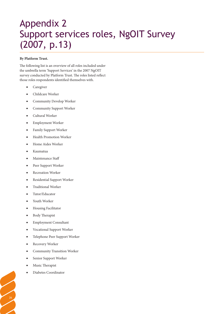# Appendix 2 Support services roles, NgOIT Survey (2007, p.13)

#### **By Platform Trust.**

The following list is an overview of all roles included under the umbrella term 'Support Services' in the 2007 NgOIT survey conducted by Platform Trust. The roles listed reflect those roles respondents identified themselves with.

- • Caregiver
- Childcare Worker
- Community Develop Worker
- Community Support Worker
- Cultural Worker
- **Employment Worker**
- Family Support Worker
- Health Promotion Worker
- Home Aides Worker
- **Kaumatua**
- Maintenance Staff
- Peer Support Worker
- Recreation Worker
- Residential Support Worker
- Traditional Worker
- Tutor/Educator
- Youth Worker
- **Housing Facilitator**
- Body Therapist
- **Employment Consultant**
- Vocational Support Worker
- Telephone Peer Support Worker
- Recovery Worker
- Community Transition Worker
- Senior Support Worker
- Music Therapist

26

Diabetes Coordinator